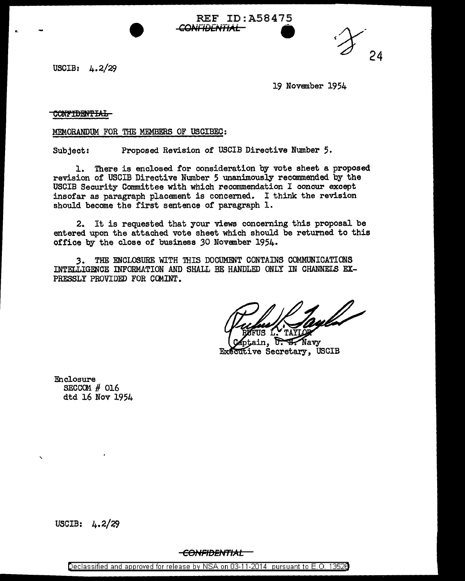**REF ID: A58475 CONFIDENTIAL** 

USCIB:  $\mu$ , 2/29

19 November 1954

## CONFIDENTIAL

MEMORANDUM FOR THE MEMBERS OF USCIBEC:

Proposed Revision of USCIB Directive Number 5. Subject:

1. There is enclosed for consideration by vote sheet a proposed revision of USCIB Directive Number 5 unanimously recommended by the USCIB Security Committee with which recommendation I concur excent insofar as paragraph placement is concerned. I think the revision should become the first sentence of paragraph 1.

2. It is requested that your views concerning this proposal be entered upon the attached vote sheet which should be returned to this office by the close of business 30 November 1954.

3. THE ENCLOSURE WITH THIS DOCUMENT CONTAINS COMMUNICATIONS INTELLIGENCE INFORMATION AND SHALL BE HANDLED ONLY IN CHANNELS EX-PRESSLY PROVIDED FOR COMINT.

 $\mathbb{Z}$ Navv in.

Executive Secretary, USCIB

Enclosure SECCOM # 016 dtd 16 Nov 1954

USCIB:  $\mu$ , 2/29

<del>-CONFIDENTIAL -</del>

Declassified and approved for release by NSA on 03-11-2014 pursuant to E.O. 13528